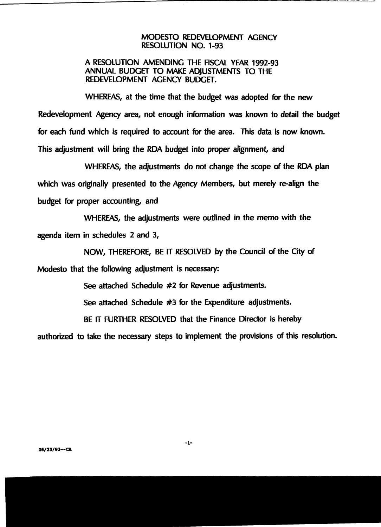#### **MODESTO REDEVELOPMENT AGENCY RESOLUTION NO. 1-93**

#### **A RESOLUTION AMENDING THE FISCAL YEAR 1992-93 ANNUAL BUDGET TO MAKE ADJUSTMENTS TO THE REDEVELOPMENT AGENCY BUDGET.**

**WHEREAS, at the time that the budget was adopted for the new Redevelopment Agency area, not enough information was known to detail the budget for each fund which is required to account for the area. This data is now known. This adjustment will bring the RDA budget into proper alignment, and**

**WHEREAS, the adjustments do not change the scope of the RDA plan which was originally presented to the Agency Members, but merely re-align the budget for proper accounting, and**

**WHEREAS, the adjustments were outlined in the memo with the agenda item in schedules 2 and 3,**

**NOW, THEREFORE, BE IT RESOLVED by the Council of the City of Modesto that the following adjustment is necessary:**

**See attached Schedule #2 for Revenue adjustments.**

**See attached Schedule #3 for the Expenditure adjustments.**

**BE IT FURTHER RESOLVED that the Finance Director is hereby**

**authorized to take the necessary steps to implement the provisions of this resolution.**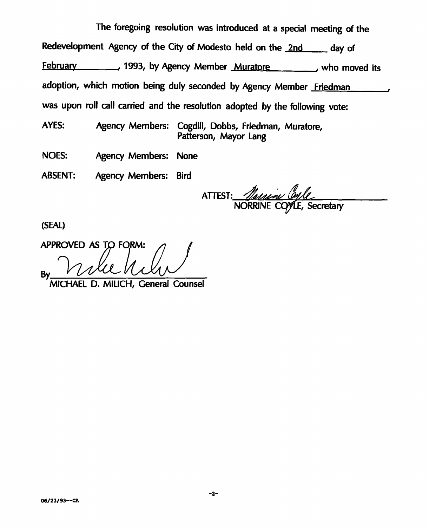**The foregoing resolution was introduced at <sup>a</sup> special meeting of the Redevelopment Agency of the City of Modesto held on the <sup>2</sup>nd day of February , 1993, by Agency Member Muratore , who moved its adoption, which motion being duly seconded by Agency Member Friedman was upon roll call carried and the resolution adopted by the following vote:**

**Agency Members: Cogdill, Dobbs, Friedman, Muratore, Patterson, Mayor Lang AYES:**

**Agency Members: None NOES:**

**Agency Members: Bird ABSENT:**

*w* **ATTEST: NORRINE C , Secretary**

**(SEAL)**

**APPROVED AS TO FORM:** By running By Read <u>MICHAEL</u>

**MICHAEL D. MILICH, General Counsel**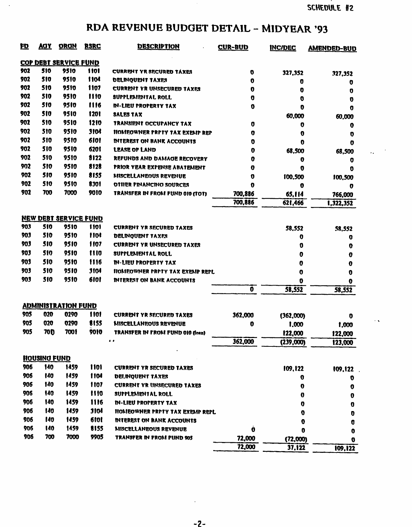• %

 $\mathcal{L}_{\bullet}$  .

## **RDA REVENUE BUDGET DETAIL - MIDYEAR '93**

 $\sim$ 

| 印   | <u> AOY</u>                  | <b>ORON</b>                  | <b>RSRC</b> | <b>DESCRIPTION</b>                    | <b>CUR-BUD</b> | <b>INC/DEC</b> | <b>AMENDED-BUD</b> |
|-----|------------------------------|------------------------------|-------------|---------------------------------------|----------------|----------------|--------------------|
|     | <b>COP DEBT SERVICE FUND</b> |                              |             |                                       |                |                |                    |
| 902 | 510                          | 9510                         | <b>1101</b> | CURRENT YR SECURED TÁXES              | O              |                |                    |
| 902 | 510                          | 9510                         | 1104        | DELINQUENT TAXES                      | 0              | 327,352        | 327,352            |
| 902 | 510                          | 9510                         | 1107        | CURRENT YR UNSECURED TAXES            | o              | 0<br>0         | o                  |
| 902 | 510                          | 9510                         | 1110        | SUFFLEMENTAL ROLL                     | O              | o              | 0                  |
| 902 | 510                          | 9510                         | 1116        | <b>IN-LIEU PROPERTY TAX</b>           | 0              | O              | O<br>0             |
| 902 | <b>510</b>                   | 9510                         | 1201        | <b>SALES TAX</b>                      |                | 60,000         | 60,000             |
| 902 | 510                          | 9510                         | 1210        | TRANSIENT OCCUPANCY TAX               | 0              | 0              | 0                  |
| 902 | 510                          | 9510                         | <b>3104</b> | HOMEOWNER PRPTY TAX EXEMP REP         | 0              | 0              | O                  |
| 902 | 510                          | 9510                         | 6101        | <b>INTEREST ON RANK ACCOUNTS</b>      | 0              | 0              | o                  |
| 902 | 510                          | 9510                         | 6201        | <b>LEASE OF LAND</b>                  | o              | 68,500         | 68,500             |
| 902 | 510                          | 9510                         | 8122        | REFUNDS AND DAMAGE RECOVERY           | 0              | 0              | Ū                  |
| 902 | 510                          | 9510                         | 8128        | PRIOR YEAR EXPENSE ABATEMENT          | 0              | 0              | 0                  |
| 902 | 510                          | 9510                         | 8155        | MISCELLANEOUS REVENUE                 | Ū              | 100,500        | 100,500            |
| 902 | 510                          | 9510                         | 8301        | OTHER FINANCING SOURCES               | 0              | 0              | o                  |
| 902 | 700                          | 7000                         | 9010        | TRANSFER IN FROM FUND 010 (TOT)       | 700,886        | 65,114         | 766,000            |
|     |                              |                              |             |                                       | 700,886        | 621,466        | 1,322,352          |
|     |                              |                              |             |                                       |                |                |                    |
|     |                              | <b>NEW DEBT SERVICE FUND</b> |             |                                       |                |                |                    |
| 903 | 510                          | 9510                         | 1101        | <b>CURRENT YR SECURED TAXES</b>       |                | 58,552         | 58,552             |
| 903 | 510                          | 9510                         | 1104        | <b>DELINQUENT TAXES</b>               |                | 0              | U                  |
| 903 | 510                          | 9510                         | 1107        | <b>CURRENT YR UNSECURED TAXES</b>     |                | O              | 0                  |
| 903 | 510                          | 9510                         | 1110        | SUPPLEMENTAL ROLL                     |                | 0              | 0                  |
| 903 | 510                          | 9510                         | 1116        | IN-LIEU FROFERTY TAX                  |                | 0              | 0                  |
| 903 | 510                          | 9510                         | 3104        | <b>NOMEOWNER PRPTY TAX EXEMP REPL</b> |                | 0              | 0                  |
| 903 | 510                          | 9510                         | 6101        | <b>INTEREST ON BANK ACCOUNTS</b>      |                | o              | o                  |
|     |                              |                              |             |                                       | 0              | 58,552         | 58,552             |
|     |                              |                              |             |                                       |                |                |                    |
|     |                              | <b>ADMINISTRATION FUND</b>   |             |                                       |                |                |                    |
| 905 | 020                          | 0290                         | 1101        | <b>CURRENT YR SECURED TAXES</b>       | 362,000        | (362,000)      | o                  |
| 905 | 020                          | 0290                         | 8155        | MISCELLANEOUS REVENUE                 | o              | 1,000          | 1,000              |
| 905 | <b>70D</b>                   | 7001                         | 9010        | TRANSFER IN FROM FUND 010 (losn)      |                | 122,000        | 122,000            |
|     |                              |                              |             | $\ddot{\phantom{a}}$                  | 362,000        | (239,000)      | 123,000            |
|     | HOUSING FUND                 |                              |             |                                       |                |                |                    |
| 906 | 140                          | 1459                         | 1101        | <b>CURRENT YR SECURED TAXES</b>       |                | 109,122        | 109,122            |
| 906 | 140                          | 1459                         | 1104        | <b>DELINQUENT TAXES</b>               |                | o              | O                  |
| 906 | 140                          | 1459                         | 1107        | CURRENT YR UNSECURED TAXES            |                | 0              | 0                  |
| 906 | 140                          | 1459                         | 1110        | SUPPLEMENTAL ROLL.                    |                | 0              | 0                  |
| 906 | 140                          | 1459                         | 1116        | <b>IN-LIEU PROPERTY TAX</b>           |                | o              | O                  |
| 906 | 140                          | 1459                         | <b>3104</b> | HOMEOWNER PRPTY TAX EXEMP REPL        |                | O              | Ū                  |
| 906 | 140                          | 1459                         | 6101        | <b>INTEREST ON BANK ACCOUNTS</b>      |                | Ū              | Ū                  |
| 906 | 140                          | 1459                         | 8155        | MISCELLANEOUS REVENUE                 | Ò              | 0              | o                  |
| 906 | 700                          | 7000                         | 9905        | TRANSFER IN FROM FUND 905             | 72,000         | (72,000)       | o                  |
|     |                              |                              |             |                                       | 72,000         | 37,122         | 109,122            |
|     |                              |                              |             |                                       |                |                |                    |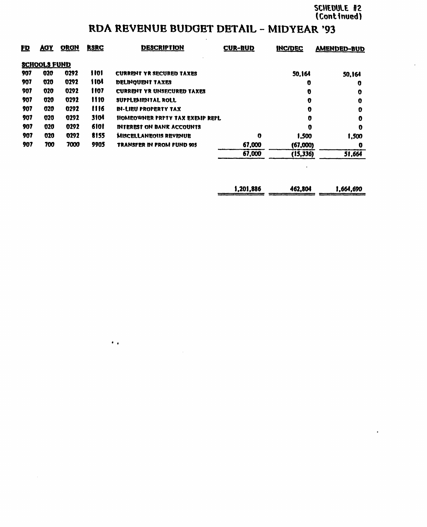### **RDA REVENUE BUDGET DETAIL - MIDYEAR '93**

| <u>FD</u> | <u>AOY</u>          | <b>ORGN</b> | <b>RSRC</b>     | <b>DESCRIPTION</b>                | <b>CUR-BUD</b> | <b>INC/DEC</b> | <b>AMENDED-BUD</b> |
|-----------|---------------------|-------------|-----------------|-----------------------------------|----------------|----------------|--------------------|
|           | <b>SCHOOLS FUND</b> |             |                 |                                   |                |                |                    |
| 907       | 020                 | 0292        | 1101            | <b>CURRENT YR SECURED TAXES</b>   |                | 50.164         | 50.164             |
| 907       | 020                 | 0292        | <b>1104</b>     | DELINOUENT TAXES                  |                | o              | o                  |
| 907       | 020                 | 0292        | 1107            | <b>CURRENT YR UNSECURED TAXES</b> |                | Ð              | o                  |
| 907       | 020                 | 0292        | 1110            | SUPPLEMENTAL ROLL                 |                | 0              | 0                  |
| 907       | 020                 | 0292        | 1116            | <b>IN-LIBU PROPERTY TAX</b>       |                | O              | 0                  |
| 907       | 020                 | 0292        | 31 <sub>0</sub> | HOMEOWNER PRPTY TAX EXEMP REPL    |                | 0              | o                  |
| 907       | 020                 | 0292        | 6101            | <b>INTEREST ON BANK ACCOUNTS</b>  |                | O              | O                  |
| 907       | 020                 | 0292        | 8155            | <b>MISCELLANEOUS REVENUE</b>      | o              | 1.500          | 1.500              |
| 907       | 700                 | 7000        | 9905            | TRANSFER IN FROM FUND 905         | 67,000         | (67,000)       | O                  |
|           |                     |             |                 |                                   | 67,000         | (15,336)       | 51,664             |
|           |                     |             |                 |                                   |                |                |                    |

•

| 1,201,886 | 462,804 | 1.664.690 |
|-----------|---------|-----------|
|           |         |           |

 $\mathcal{A}^{\pm}$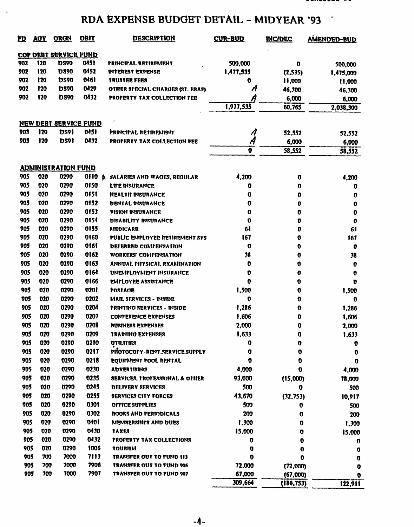### **RDA EXPENSE BUDGET DETAIL - MIDYEAR '93**

 $\langle \rangle$ 

| <u>ED</u> | AGY. | <b>ORGN</b>                  | <b>OBIT</b> | <b>DESCRIPTION</b>               | <b>CUR-BUD</b>     | <b>INC/DEC</b> | <b>AMENDED-BUD</b> |
|-----------|------|------------------------------|-------------|----------------------------------|--------------------|----------------|--------------------|
|           |      | <b>COP DEBT SERVICE FUND</b> |             |                                  |                    |                |                    |
| 902       | 120  | <b>DS90</b>                  | 0151        | <b>FRINCIPAL RETIREMENT</b>      | 500,000            | 0              | 500,000            |
| 902       | 120  | <b>DS90</b>                  | 0452        | INTEREST EXPENSE                 | 1,477,535          | (2, 535)       | 1,475,000          |
| 902       | 120  | DS90                         | 0461        | TRUSTEE FEES                     | O                  | 11,000         | 11,000             |
| 902       | 120  | <b>DS90</b>                  | 0429        | OTHER SPECIAL CHARGES (ST. ERAF) | n                  | 46,300         | 46,300             |
| 902       | 120  | <b>DS90</b>                  | 0432        | PROPERTY TAX COLLECTION FEE      | A                  | 6,000          | 6,000              |
|           |      |                              |             |                                  | 1,977,535          | 60,765         | 2,038,300          |
|           |      | <b>NEW DEBT SERVICE FUND</b> |             |                                  |                    |                |                    |
| 903       | 120  | <b>DS91</b>                  | 015 I       | PRINCIPAL RETIREMENT             | A                  | 52,552         | 52,552             |
| 903       | 120  | <b>DS91</b>                  | 0112        | PROPERTY TAX COLLECTION FEE      | Å                  | 6,000          | 6,000              |
|           |      |                              |             |                                  | $\bar{\mathbf{0}}$ | 58,552         | 58,552             |
|           |      | <b>ADMINISTRATION FUND</b>   |             |                                  |                    |                |                    |
| 905       | 020  | 0290                         | 01 I 0      | SALARIES AND WAGES, REGULAR<br>A | 4,200              | 0              |                    |
| 905       | 020  | 0290                         | 0150        | LIFE INSURANCE                   | 0                  | 0              | 4,200<br>o         |
| 905       | 020  | 0290                         | 0151        | <b>HEALTH INSURANCE</b>          | O                  | 0              | o                  |
| 905       | 020  | 0290                         | 0152        | <b>DENTAL INSURANCE</b>          | 0                  | 0              | 0                  |
| 905       | 020  | 0290                         | 0153        | <b>VISION INSURANCE</b>          | 0                  | 0              | o                  |
| 905       | 020  | 0290                         | 0154        | DISABILITY INSURANCE             | 0                  | 0              | o                  |
| 905       | 020  | 0290                         | 0155        | <b>MEDICARE</b>                  | 61                 | 0              | 61                 |
| 905       | 020  | 0290                         | 0160        | PUBLIC ENITLOYEE RETIRENENT SYS  | 167                | 0              | 167                |
| 905       | 020  | 0290                         | 0161        | DEFERRED COMPENSATION            | 0                  | 0              | o                  |
| 905       | 020  | 0290                         | 0162        | WORKERS' COMPENSATION            | 38                 | 0              | 38                 |
| 905       | 020  | 0290                         | 0163        | ANNUAL PHYSICAI. EXAMINATION     | o                  | 0              | 0                  |
| 905       | 020  | 0290                         | 016ł        | UNEMPLOYMENT INSURANCE           | 0                  | 0              | O                  |
| 905       | 020  | 0290                         | 0166        | <b>EMPLOYEE ASSISTANCE</b>       | 0                  | o              | o                  |
| 905       | 020  | 0290                         | 0201        | POSTADE                          | 1,500              | 0              | 1,500              |
| 905       | 020  | 0290                         | 0202        | MAIL SERVICES - NISIDE           | 0                  | 0              | O                  |
| 905       | 020  | 0290                         | 0204        | PRINTINO SERVICES - INSIDE       | 1,286              | 0              | 1,286              |
| 905       | 020  | 0290                         | 0207        | CONFERENCE EXPENSES              | 1,606              | o              | 1,606              |
| 905       | 020  | 0290                         | 0208        | <b>BUSINESS EXPENSES</b>         | 2,000              | 0              | 2,000              |
| 905       | 020  | 0290                         | 0209        | <b>TRAINING EXPENSES</b>         | 1,633              | o              | 1,633              |
| 905       | 020  | 0290                         | 0210        | UTILITIES                        | 0                  | 0              | U                  |
| 905       | 020  | 0290                         | 0217        | PIOTOCOPY-RENT.SERVICE.SUPPLY    | 0                  | 0              | o                  |
| 905       | 020  | 0290                         | 0218        | EQUIPMENT POOL RENTAL            | 0                  | 0              | O                  |
| 905       | U20  | <b>0290</b>                  | 0230        | ADVERTISING                      | 4,000              | o              | 4,000              |
| 905       | 020  | 0290                         | 0235        | SERVICES, PROFESSIONAL & OTHER   | 93,000             | (15,000)       | 78,000             |
| 905       | 020  | 0290                         | 0245        | DELIVERY SERVICES                | 500                | o              | 500                |
| 905       | 020  | 0290                         | 0255        | SERVICES CITY FORCES             | 43,670             | (32, 753)      | 10,917             |
| 905       | 020  | 0290                         | 0301        | OFFICE SUPPLIES                  | 500                | o              | 500                |
| 905       | 020  | 0290                         | 0302        | <b>BOOKS AND PERIODICALS</b>     | 200                | O              | 200                |
| 905       | 020  | 0290                         | 0401        | MEMBERSHIPS AND DUES             | 1,300              | O              | 1,300              |
| 905       | 020  | 0290                         | 0430        | <b>TAXES</b>                     | 15,000             | O              | 15,000             |
| 905       | 020  | 0290                         | 0432        | <b>PROPERTY TAX COLLECTIONS</b>  | O                  | 0              | U                  |
| 905       | 020  | 0290                         | 1006        | TOURISM                          | O                  | 0              | o                  |
| 905       | 700  | 7000                         | 7113        | TRANSFER OUT TO FUND 113         | o                  | 0              | O                  |
| 905       | 700  | 7000                         | 7906        | TRANSFER OUT TO FUND 906         | 72,000             | (72,000)       | o                  |
| 905       | 700  | 7000                         | 7907        | TRANSFER OUT TO FUND 907         | 67,000             | (67,000)       | o                  |
|           |      |                              |             |                                  | 309,664            | (186, 753)     | 122,911            |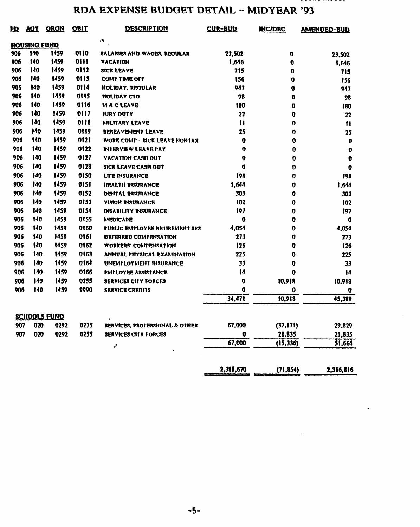## **RDA EXPENSE BUDGET DETAIL - MIDYEAR '93**

| <u>FD</u> | <u>ACY</u>   | <b>ORGN</b>         | <b>OBJT</b> | <b>DESCRIPTION</b>             | <b>CUR-BUD</b> | <b>INC/DEC</b> | <b>AMENDED-BUD</b> |
|-----------|--------------|---------------------|-------------|--------------------------------|----------------|----------------|--------------------|
|           | HOUSING FUND |                     |             | w                              |                |                |                    |
| 906       | 140          | 1459                | 01 I 0      | SALARIES AND WAGES, REGULAR    | 23,502         | o              | 23.502             |
| 906       | 140          | 1459                | 0111        | VACATION                       | 1,646          | O              | 1,646              |
| 906       | 140          | 1459                | 0112        | SICK LEAVE                     | 715            | 0              | 715                |
| 906       | 140          | 1459                | 0113        | COMP TIME OFF                  | 156            | o              | 156                |
| 906       | 140          | 1459                | 0114        | <b>IIOLIDAY, REGULAR</b>       | 947            | O              | 947                |
| 906       | 140          | 1459                | 0115        | HOLIDAY CTO                    | 98             | $\mathbf 0$    | 98                 |
| 906       | 140          | 1459                | 0116        | <b>MACLEAVE</b>                | 180            | 0              | 180                |
| 906       | 140          | 1459                | 0117        | JURY DUTY                      | 22             | 0              | 22                 |
| 906       | 140          | 1459                | 0118        | MILITARY LEAVE                 | $\mathbf{H}$   | 0              | $\mathbf{1}$       |
| 906       | 140          | 1459                | 0119        | BEREAVEMENT LEAVE              | 25             | 0              | 25                 |
| 906       | 140          | 1459                | 0121        | WORK COMP - SICK LEAVE NONTAX  | O              | 0              | 0                  |
| 906       | 140          | 1459                | 0122        | <b>INTERVIEW LEAVE PAY</b>     | $\mathbf o$    | 0              | 0                  |
| 906       | 140          | 1459                | 0127        | VACATION CASII OUT             | $\bf{o}$       | 0              | 0                  |
| 906       | 140          | 1459                | 0128        | SICK LEAVE CASH OUT            | O              | 0              | O                  |
| 906       | 140          | 1459                | 0150        | <b>LIFE INSURANCE</b>          | 198            | o              | 198                |
| 906       | 140          | 1459                | 0151        | <b>HEALTH INSURANCE</b>        | 1,644          | 0              | 1,644              |
| 906       | 140          | 1459                | 0152        | <b>DENTAL MISURANCE</b>        | 303            | 0              | 303                |
| 906       | 140          | 1459                | 0153        | VISION INSURANCE               | 102            | 0              | 102                |
| 906       | 140          | 1459                | 0154        | <b>DISABILITY INSURANCE</b>    | 197            | 0              | 197                |
| 906       | 140          | 1459                | 0155        | <b>MEDICARE</b>                | 0              | O              | 0                  |
| 906       | 140          | 1459                | 0160        | PUBLIC EMPLOYEE RETIREMENT SYS | 4,054          | O              | 4,054              |
| 906       | 140          | 1459                | 0161        | DEFERRED COMPENSATION          | 273            | 0              | 273                |
| 906       | 140          | 1459                | 0162        | WORKERS' COMPENSATION          | 126            | 0              | 126                |
| 906       | 140          | 1459                | 0163        | ANNUAL PIIYSICAL EXAMINATION   | 225            | 0              | 225                |
| 906       | 140          | 1459                | 0164        | UNEMPLOYMENT INSURANCE         | 33             | 0              | 33                 |
| 906       | 140          | 1459                | 0166        | <b>EMPLOYEE ASSISTANCE</b>     | $\mathbf{14}$  | o              | $\mathbf{I}$       |
| 906       | 140          | 1459                | 0255        | <b>SERVICES CITY FORCES</b>    | O              | 10,918         | 10,918             |
| 906       | 140          | 1459                | 9990        | <b>SERVICE CREDITS</b>         | o              | 0              | O                  |
|           |              |                     |             |                                | 34,471         | 10,918         | 45,389             |
|           |              | <b>SCHOOLS FUND</b> |             | J                              |                |                |                    |
| 907       | 020          | 0292                | 0235        | SERVICES, PROFESSIONAL & OTHER | 67,000         | (37, 171)      | 29,829             |
| 907       | 020          | 0292                | 0255        | SERVICES CITY FORCES           | o              | 21,835         | 21,835             |
|           |              |                     |             | ÷                              | 67,000         | (15, 336)      | 51,664             |
|           |              |                     |             |                                | 2,388,670      | (71, 854)      | 2,316,816          |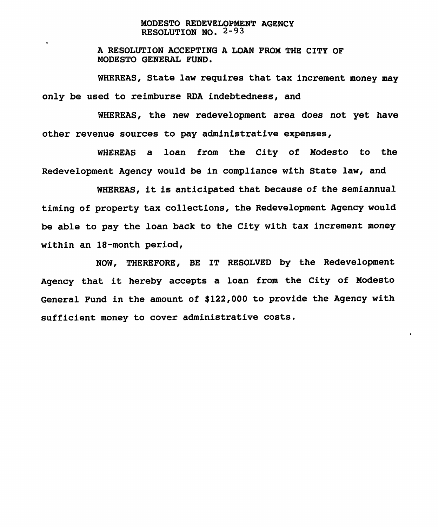#### **MODESTO REDEVELOPMENT AGENCY RESOLUTION NO. 2-93**

**A RESOLUTION ACCEPTING A LOAN FROM THE CITY OF MODESTO GENERAL FUND.**

**WHEREAS, State law requires that tax increment money may only be used to reimburse RDA indebtedness, and**

**WHEREAS, the new redevelopment area does not yet have other revenue sources to pay administrative expenses,**

**WHEREAS a loan from the City of Modesto to the Redevelopment Agency would be in compliance with State law, and**

**WHEREAS, it is anticipated that because of the semiannual timing of property tax collections, the Redevelopment Agency would be able to pay the loan back to the City with tax increment money within an 18-month period,**

**NOW, THEREFORE, BE IT RESOLVED by the Redevelopment Agency that it hereby accepts a loan from the City of Modesto General Fund in the amount of \$122,000 to provide the Agency with sufficient money to cover administrative costs.**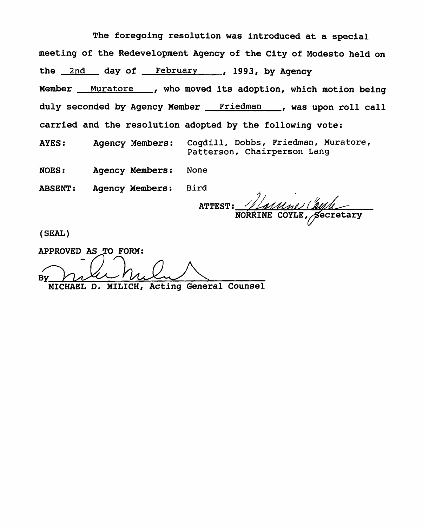**The foregoing resolution was introduced at a special meeting of the Redevelopment Agency of the City of Modesto held on the 2nd day of February , 1993, by Agency Member , who moved its adoption, which motion being Muratore Friedman duly seconded by Agency Member , was upon roll call carried and the resolution adopted by the following vote: Cogdill, Dobbs, Friedman, Muratore, Patterson, Chairperson Lang AYES: Agency Members: NOES: Agency Members: None ABSENT: Agency Members: Bird**

**NORRINE COYLE , \$ecretary ATTEST:**

**^**

**(SEAL)**

**APPROVED AS TO FORM: By MICHAEL D. MILICH, Acting General Counsel**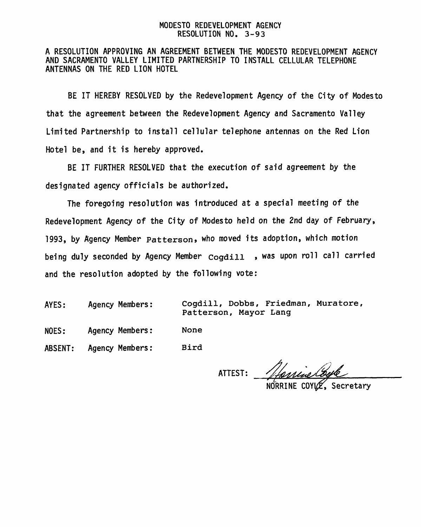#### MODESTO REDEVELOPMENT AGENCY RESOLUTION NO. 3-93

#### A RESOLUTION APPROVING AN AGREEMENT BETWEEN THE MODESTO REDEVELOPMENT AGENCY AND SACRAMENTO VALLEY LIMITED PARTNERSHIP TO INSTALL CELLULAR TELEPHONE ANTENNAS ON THE RED LION HOTEL

BE IT HEREBY RESOLVED by the Redevelopment Agency of the City of Modesto that the agreement between the Redevelopment Agency and Sacramento Valley Limited Partnership to install cellular telephone antennas on the Red Lion Hotel be, and it is hereby approved.

BE IT FURTHER RESOLVED that the execution of said agreement by the designated agency officials be authorized.

The foregoing resolution was introduced at a special meeting of the Redevelopment Agency of the City of Modesto held on the 2nd day of February, 1993, by Agency Member **Patterson »** who moved its adoption, which motion being duly seconded by Agency Member **cogdill** , was upon roll call carried and the resolution adopted by the following vote:

AYES: Agency Members:

**Cogdill, Dobbs, Friedman, Muratore, Patterson, Mayor Lang**

NOES: Agency Members: **None**

ABSENT: Agency Members: **Bird**

o ATTEST:

Secretary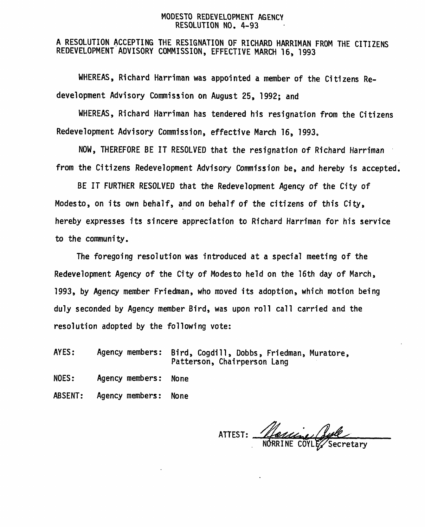#### MODESTO REDEVELOPMENT AGENCY RESOLUTION NO. 4-93

<sup>A</sup> RESOLUTION ACCEPTING THE RESIGNATION OF RICHARD HARRIMAN FROM THE CITIZENS REDEVELOPMENT ADVISORY COMMISSION , EFFECTIVE MARCH 16, 1993

WHEREAS, Richard Harriman was appointed <sup>a</sup> member of the Citizens Redevelopment Advisory Commission on August 25, 1992; and

WHEREAS, Richard Harriman has tendered his resignation from the Citizens Redevelopment Advisory Commission, effective March 16, 1993,

NOW, THEREFORE BE IT RESOLVED that the resignation of Richard Harriman from the Citizens Redevelopment Advisory Commission be, and hereby is accepted.

BE IT FURTHER RESOLVED that the Redevelopment Agency of the City of Modesto, on its own behalf, and on behalf of the citizens of this City, hereby expresses its sincere appreciation to Richard Harriman for his service to the community.

The foregoing resolution was introduced at <sup>a</sup> special meeting of the Redevelopment Agency of the City of Modesto held on the 16th day of March , 1993, by Agency member Friedman, who moved its adoption, which motion being duly seconded by Agency member Bird, was upon roll call carried and the resolution adopted by the following vote:

AYES: Agency members: Bird, Cogdill , Dobbs, Friedman, Muratore, Patterson, Chairperson Lang

NOES: Agency members: None

ABSENT: Agency members: None

ATTEST:

NORRINE COYLE/Secretary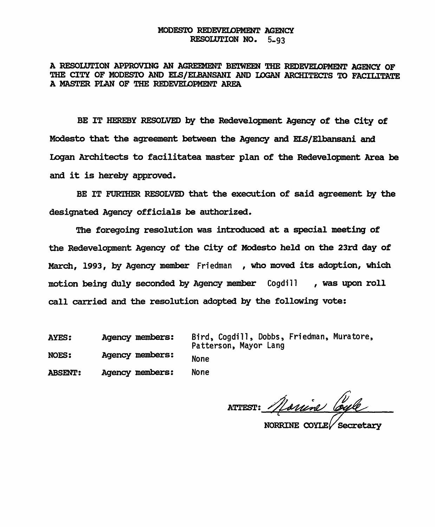#### **MODESTO REDEVELOPMENT AGENCY RESOLUTION NO. 5-93**

**A RESOLUTION APPROVING AN AGREEMENT BETWEEN THE REDEVELOPMENT AGENCY OF THE CITY OF MODESTO AND ELS/ELBANSANI AND LOGAN ARCHITECTS TO FACILITATE A MASTER PLAN OF THE REDEVELOPMENT AREA**

**BE IT HEREBY RESOLVED by the Redevelopment Agency of the City of Modesto that the agreement between the Agency and ELS/Elbansani and Logan Architects to facilitates master plan of the Redevelopment Area be and it is hereby approved.**

**BE IT FURTHER RESOLVED that the execution of said agreement by the designated Agency officials be authorized.**

**The foregoing resolution was introduced at a special meeting of the Redevelopment Agency of the City of MOdesto held on the 23rd day of March, 1993, by Agency member** Friedman **, who moved its adoption, which motion being duly seconded by Agency member** Cogdill **call carried and the resolution adopted by the following vote: , was upon roll**

None **Agency members: Agency members: AYES: NOES:**

**ABSENT: Agency members:**

Bird, Cogdill, Dobbs, Friedman, Muratore, Patterson, Mayor Lang None

ATTEST: *Marine Cou*e

**NOKRINE COYLE^ Secretary**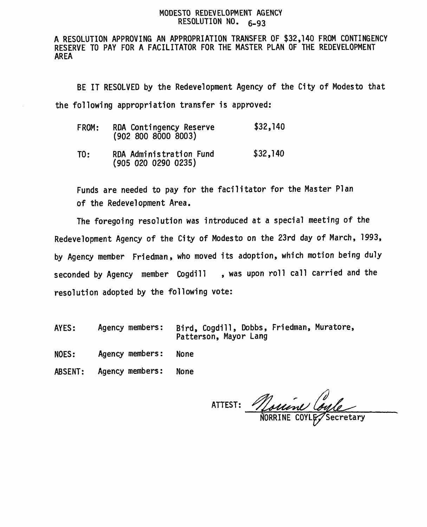#### **MODESTO REDEVELOPMENT AGENCY RESOLUTION NO. 6-<sup>93</sup>**

**A RESOLUTION APPROVING AN APPROPRIATION TRANSFER OF \$32,140 FROM CONTINGENCY RESERVE TO PAY FOR A FACILITATOR FOR THE MASTER PLAN OF THE REDEVELOPMENT AREA**

**BE IT RESOLVED by the Redevelopment Agency of the City of Modesto that the following appropriation transfer is approved:**

| FROM: | RDA Contingency Reserve | \$32,140 |
|-------|-------------------------|----------|
|       | (902 800 8000 8003)     |          |

**TO: RDA Administration Fund \$32,140 (905 020 0290 0235 )**

**Funds are needed to pay for the facilitator for the Master Plan of the Redevelopment Area.**

**The foregoing resolution was introduced at <sup>a</sup> special meeting of the Redevelopment Agency of the City of Modesto on the <sup>23</sup>rd day of March, <sup>1993</sup>, by Agency member Friedman, who moved its adoption, which motion being duly seconded by Agency member Cogdill , was upon roll call carried and the resolution adopted by the following vote:**

- **Agency members: Bird, Cogdill, Dobbs , Friedman, Muratore, Patterson, Mayor Lang AYES:**
- **NOES: Agency members: None**
- **ABSENT: Agency members: None**

**ATTEST: COYL^NORRINE Secretary**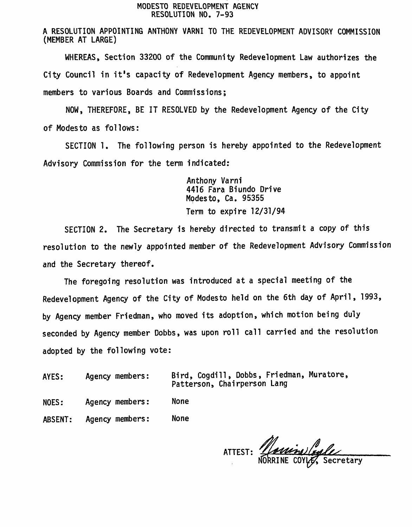#### MODESTO REDEVELOPMENT AGENCY RESOLUTION NO. 7-93

A RESOLUTION APPOINTING ANTHONY VARNI TO THE REDEVELOPMENT ADVISORY COMMISSION ( MEMBER AT LARGE )

WHEREAS, Section 33200 of the Community Redevelopment Law authorizes the City Council in it'<sup>s</sup> capacity of Redevelopment Agency members, to appoint members to various Boards and Commissions;

NOW , THEREFORE , BE IT RESOLVED by the Redevelopment Agency of the City of Modesto as follows:

SECTION 1. The following person is hereby appointed to the Redevelopment Advisory Commission for the term indicated:

> Anthony Varni 4416 Fara Biundo Drive Modesto, Ca. 95355 Term to expire 12/31/94

SECTION <sup>2</sup>. The Secretary is hereby directed to transmit <sup>a</sup> copy of this resolution to the newly appointed member of the Redevelopment Advisory Commission and the Secretary thereof.

The foregoing resolution was introduced at <sup>a</sup> special meeting of the Redevelopment Agency of the City of Modesto held on the 6th day of April, 1993, by Agency member Friedman, who moved its adoption, which motion being duly seconded by Agency member Dobbs, was upon roll call carried and the resolution adopted by the following vote:

AYES: Agency members:

Bird , Cogdill , Dobbs , Friedman, Muratore , Patterson, Chairperson Lang

- NOES: Agency members: None
- ABSENT: Agency members: None

NORRINE COYLE, Secretary ATTEST: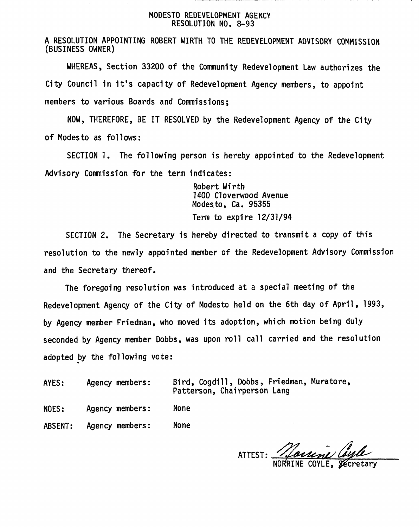#### MODESTO REDEVELOPMENT AGENCY RESOLUTION NO. 8-93

A RESOLUTION APPOINTING ROBERT WIRTH TO THE REDEVELOPMENT ADVISORY COMMISSION (BUSINESS OWNER )

WHEREAS , Section <sup>33200</sup> of the Community Redevelopment Law authorizes the City Council in it's capacity of Redevelopment Agency members, to appoint members to various Boards and Commissions;

NOW, THEREFORE, BE IT RESOLVED by the Redevelopment Agency of the City of Modesto as follows:

SECTION 1. The following person is hereby appointed to the Redevelopment Advisory Commission for the term indicates:

> Robert Wirth 1400 Cloverwood Avenue Modesto, Ca. 95355 Term to expire 12/31/94

SECTION 2. The Secretary is hereby directed to transmit a copy of this resolution to the newly appointed member of the Redevelopment Advisory Commission and the Secretary thereof.

The foregoing resolution was introduced at a special meeting of the Redevelopment Agency of the City of Modesto held on the 6th day of April , 1993, by Agency member Friedman, who moved its adoption, which motion being duly seconded by Agency member Dobbs, was upon roll call carried and the resolution adopted by the following vote:

AYES: Agency members:

Bird, Cogdill , Dobbs, Friedman, Muratore, Patterson, Chairperson Lang

NOES: Agency members: None

ABSENT: Agency members: None

ATTEST: *'&L* NORRINE COYLE, Secretary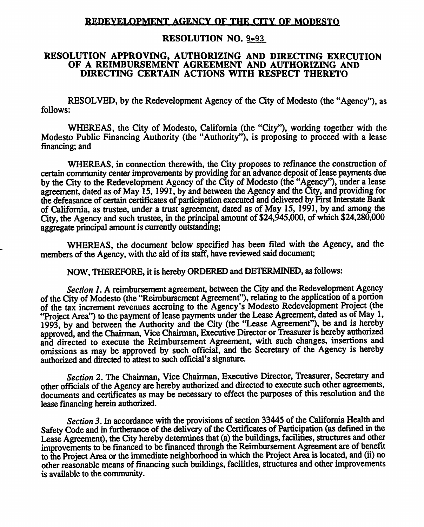#### **REDEVFI,OPMKNT AGENCY OF THF. CITY OF MODESTO**

#### RESOLUTION NO. 9 -93

#### RESOLUTION APPROVING, AUTHORIZING AND DIRECTING EXECUTION OF A REIMBURSEMENT AGREEMENT AND AUTHORIZING AND DIRECTING CERTAIN ACTIONS WITH RESPECT THERETO

RESOLVED, by the Redevelopment Agency of the City of Modesto (the "Agency"), as follows:

WHEREAS, the City of Modesto, California (the "City"), working together with the Modesto Public Financing Authority (the "Authority"), is proposing to proceed with <sup>a</sup> lease financing; and

WHEREAS, in connection therewith, the City proposes to refinance the construction of certain community center improvements by providing for an advance deposit of lease payments due by the City to the Redevelopment Agency of the City of Modesto (the "Agency"), under <sup>a</sup> lease agreement, dated as of May 15, 1991, by and between the Agency and the City, and providing for the defeasance of certain certificates of participation executed and delivered by First Interstate Bank of California, as trustee, under <sup>a</sup> trust agreement, dated as of May 15, 1991, by and among the City, the Agency and such trustee, in the principal amount of \$24,945,000, of which \$24,280,<sup>000</sup> aggregate principal amount is currently outstanding;

WHEREAS, the document below specified has been filed with the Agency, and the members of the Agency, with the aid of its staff, have reviewed said document;

NOW, THEREFORE, it is hereby ORDERED and DETERMINED, as follows:

*Section 1.*<sup>A</sup> reimbursement agreement, between the City and the Redevelopment Agency of the City of Modesto (the "Reimbursement Agreement"), relating to the application of <sup>a</sup> portion of the tax increment revenues accruing to the Agency'<sup>s</sup> Modesto Redevelopment Project (the "Project Area") to the paymen<sup>t</sup> of lease payments under the Lease Agreement, dated as of May 1, <sup>1993</sup>, by and between the Authority and the City (the "Lease Agreement"), be and is hereby approved, and the Chairman, Vice Chairman, Executive Director or Treasurer is hereby authorized and directed to execute the Reimbursement Agreement, with such changes, insertions and omissions as may be approve<sup>d</sup> by such official, and the Secretary of the Agency is hereby authorized and directed to attest to such official's signature.

*Section* 2. The Chairman, Vice Chairman, Executive Director, Treasurer, Secretary and other officials of the Agency are hereby authorized and directed to execute such other agreements, documents and certificates as may be necessary to effect the purposes of this resolution and the lease financing herein authorized.

*Section 3.*In accordance with the provisions of section 33445 of the California Health and Safety Code and in furtherance of the delivery of the Certificates of Participation (as defined in the Lease Agreement), the City hereby determines that (a) the buildings, facilities, structures and other improvements to be financed to be financed through the Reimbursement Agreement are of benefit to the Project Area or the immediate neighborhood in which the Project Area islocated, and (ii) no other reasonable means of financing such buildings,facilities, structures and other improvements is available to the community.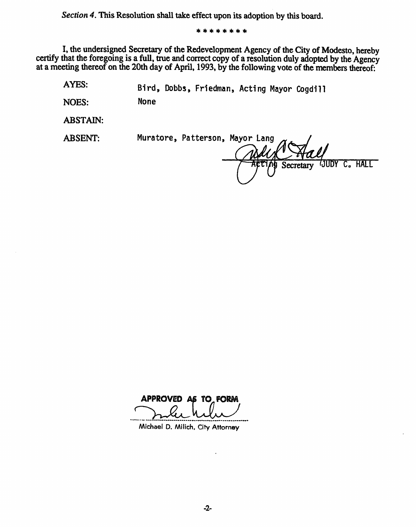*Section <sup>4</sup>.*This Resolution shall take effect upon its adoption by this board.

\* \* \* \* \* \*\* \*

<sup>I</sup>, the undersigned Secretary of the Redevelopment Agency of theCity of Modesto, hereby certify that the foregoing is <sup>a</sup> full, true and correct copy of <sup>a</sup> resolution duly adopted by the Agency at <sup>a</sup> meeting thereof on the 20th day of April, 1993, by the following vote of the members thereof:

**AYES:** Bird, Dobbs, Friedman, Acting Mayor Cogdill

**NOES:** None

**ABSTAIN:**

**ABSENT:** Muratore, Patterson, Mayor Lang Secretary **WUDY** C. HALL

**APPROVED AS TO FORM**

Michael <sup>D</sup>. Milich, City Attorney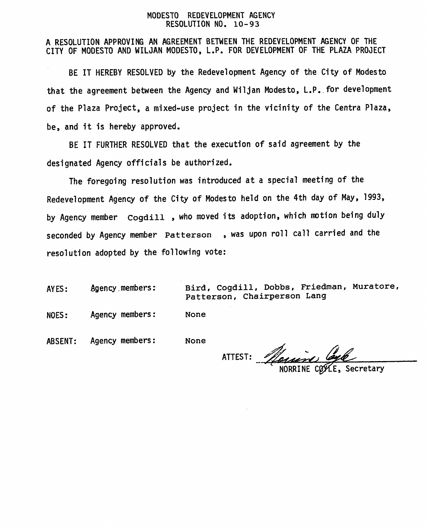#### **MODESTO REDEVELOPMENT AGENCY RESOLUTION NO . <sup>1</sup> <sup>0</sup>- <sup>9</sup> <sup>3</sup>**

A RESOLUTION APPROVING AN AGREEMENT BETWEEN THE REDEVELOPMENT AGENCY OF THE CITY OF MODESTO AND WILJAN MODESTO , L.P. FOR DEVELOPMENT OF THE PLAZA PROJECT

BE IT HEREBY RESOLVED by the Redevelopment Agency of the City of Modesto that the agreemen<sup>t</sup> between the Agency and Wiljan Modesto, L.P. for development of the Plaza Project, <sup>a</sup> mixed-use project in the vicinity of the Centra Plaza , be, and it is hereby approved.

BE IT FURTHER RESOLVED that the execution of said agreemen<sup>t</sup> by the designated Agency officials be authorized.

The foregoing resolution was introduced at <sup>a</sup> special meeting of the Redevelopment Agency of the City of Modesto held on the <sup>4</sup>th day of May , 1993, by Agency member **Cogdill ,** who moved its adoption, which motion being duly seconded by Agency member Patterson , was upon roll call carried and the resolution adopted by the following vote:

AYES:

Agency members: **Bird, Cogdill, Dobbs, Friedman, Muratore, Patterson, Chairperson Lang**

NOES: Agency members: **None**

ABSENT: Agency members: **None**

**y** ATTEST: *Nouin* 

Secretary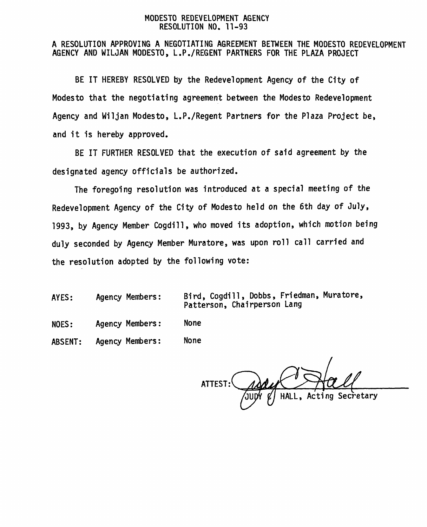#### **MODESTO REDEVELOPMENT AGENCY RESOLUTION NO. 11-93**

#### **A RESOLUTION APPROVING A NEGOTIATING AGREEMENT BETWEEN THE MODESTO REDEVELOPMENT AGENCY AND WILJAN MODESTO , L.P./REGENT PARTNERS FOR THE PLAZA PROJECT**

**BE IT HEREBY RESOLVED by the Redevelopment Agency of the City of Modesto that the negotiating agreement between the Modesto Redevelopment Agency and Wiljan Modesto, L.P./Regent Partners for the Plaza Project be, and it is hereby approved.**

**BE IT FURTHER RESOLVED that the execution of said agreement by the designated agency officials be authorized.**

**The foregoing resolution was introduced at <sup>a</sup> special meeting of the Redevelopment Agency of the City of Modesto held on the 6th day of July, <sup>1993</sup>, by Agency Member Cogdill , who moved its adoption, which motion being duly seconded by Agency Member Muratore, was upon roll call carried and the resolution adopted by the following vote:**

**Bird, Cogdill , Dobbs , Friedman, Muratore, Patterson, Chairperson Lang AYES: Agency Members:**

**NOES: Agency Members: None**

**ABSENT: Agency Members: None**

**ATTEST: rJU HALL , Acting Secretary**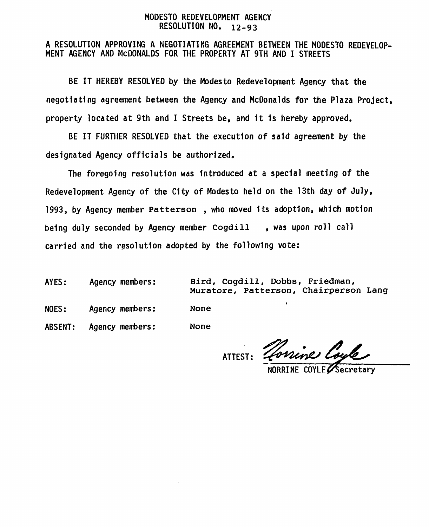#### MODESTO REDEVELOPMENT AGENCY RESOLUTION NO. **1 2-9 3**

# <sup>A</sup> RESOLUTION APPROVING <sup>A</sup> NEGOTIATING AGREEMENT BETWEEN THE MODESTO REDEVELOP- MENT AGENCY AND McDONALDS FOR THE PROPERTY AT 9TH AND <sup>I</sup> STREETS

BE IT HEREBY RESOLVED by the Modesto Redevelopment Agency that the negotiating agreement between the Agency and McDonalds for the Plaza Project, property located at 9th and <sup>I</sup> Streets be, and it 1s hereby approved.

BE IT FURTHER RESOLVED that the execution of said agreement by the designated Agency officials be authorized.

The foregoing resolution was introduced at a special meeting of the Redevelopment Agency of the City of Modesto held on the 13th day of July, 1993, by Agency member **Patterson** , who moved its adoption, which motion being duly seconded by Agency member **Cogdill** , was upon roll call carried and the resolution adopted by the following vote:

AYES: Agency members:

**Bird, Cogdill, Dobbs, Friedman, Muratore, Patterson, Chairperson Lang**

NOES: Agency members:

**None**

ABSENT: Agency members: **None**

ATTEST:

Torrine Coyle

NORRINE COYLE $\boldsymbol{\varphi}$ **Secretary**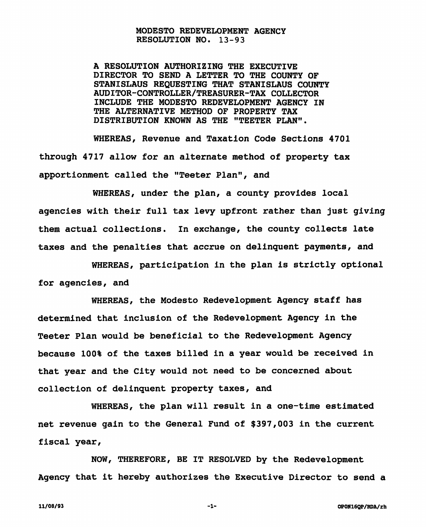#### **MODESTO REDEVELOPMENT AGENCY RESOLUTION NO. 13-93**

**A RESOLUTION AUTHORIZING THE EXECUTIVE DIRECTOR TO SEND A LETTER TO THE COUNTY OF STANISLAUS REQUESTING THAT STANISLAUS COUNTY AUDITOR-CONTROLLER/TREASURER-TAX COLLECTOR INCLUDE THE MODESTO REDEVELOPMENT AGENCY IN THE ALTERNATIVE METHOD OF PROPERTY TAX DISTRIBUTION KNOWN AS THE "TEETER PLAN".**

**WHEREAS, Revenue and Taxation Code Sections 4701 through 4717 allow for an alternate method of property tax apportionment called the "Teeter Plan", and**

**WHEREAS, under the plan, a county provides local agencies with their full tax levy upfront rather than just giving them actual collections. In exchange, the county collects late taxes and the penalties that accrue on delinguent payments, and**

**WHEREAS, participation in the plan is strictly optional for agencies, and**

**WHEREAS, the Modesto Redevelopment Agency staff has determined that inclusion of the Redevelopment Agency in the Teeter Plan would be beneficial to the Redevelopment Agency because 100% of the taxes billed in a year would be received in that year and the City would not need to be concerned about collection of delinquent property taxes, and**

**WHEREAS, the plan will result in a one-time estimated net revenue gain to the General Fund of \$397,003 in the current fiscal year,**

**NOW, THEREFORE, BE IT RESOLVED by the Redevelopment Agency that it hereby authorizes the Executive Director to send a**